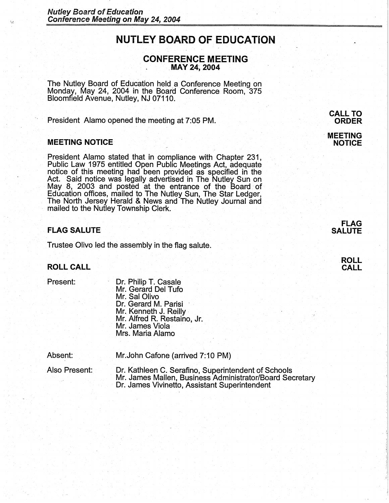# **NUTLEY BOARD OF EDUCATION**

# **CONFERENCE MEETING** . **MAY 24~ 2004**

The Nutley Board of Education held a Conference Meeting on Monday, May 24, 2004 in the Board Conference Room, 375 Bloomfield Avenue, Nutley, NJ 07110.

President Alamo opened the meeting at 7:05 PM.

#### **MEETING NOTICE**

;~:

President Alamo stated that in compliance with Chapter 231, Public Law 1975 entitled Open Public Meetings Act, adequate notice of this meeting had been provided as specified in the Act. Said notice was legally advertised in The Nutley Sun on<br>May 8, 2003 and posted at the entrance of the Board of Education offices, mailed to The Nutley Sun, The Star Ledger, The North Jersey Herald & News and The Nutley Journal and mailed to the Nutley Township Clerk.

## **FLAG SALUTE**

Trustee Olivo led the assembly in the flag salute.

# **ROLL CALL**

Present:

Dr. Philip T. Casale Mr. Gerard Del Tufo Mr. Sal Olivo Dr. Gerard M. Parisi Mr. Kenneth J. Reilly· Mr. Alfred R. Restaino, Jr.<br>Mr. James Viola Mrs. Maria Alamo

| Absent: |  |  | Mr. John Cafone (arrived 7:10 PM) |  |
|---------|--|--|-----------------------------------|--|
|         |  |  |                                   |  |

Also Present: Dr. Kathleen C. Serafino, Superintendent of Schools Mr. James Mallen, Business Administrator/Board Secretary Dr. James Vivinetto, Assistant Superintendent

**CALL TO ORDER** 

· **MEETING NOTICE** 

> **FLAG SALUTE**

> > **.ROLL CALL**